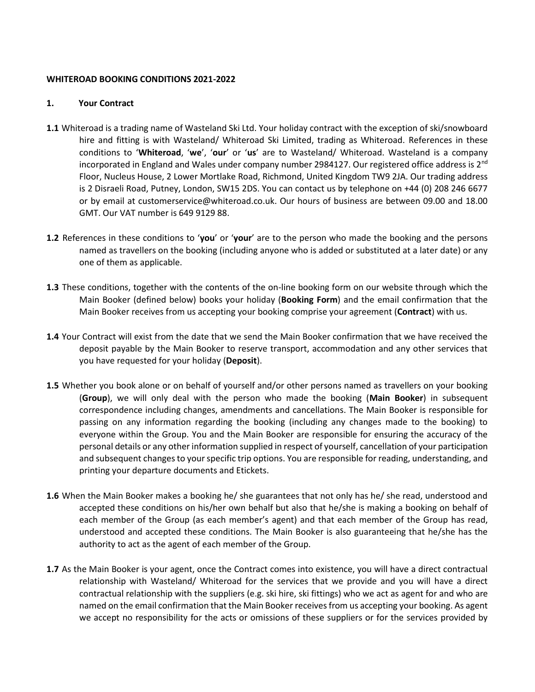#### **WHITEROAD BOOKING CONDITIONS 2021-2022**

## **1. Your Contract**

- **1.1** Whiteroad is a trading name of Wasteland Ski Ltd. Your holiday contract with the exception of ski/snowboard hire and fitting is with Wasteland/ Whiteroad Ski Limited, trading as Whiteroad. References in these conditions to '**Whiteroad**, '**we**', '**our**' or '**us**' are to Wasteland/ Whiteroad. Wasteland is a company incorporated in England and Wales under company number 2984127. Our registered office address is 2<sup>nd</sup> Floor, Nucleus House, 2 Lower Mortlake Road, Richmond, United Kingdom TW9 2JA. Our trading address is 2 Disraeli Road, Putney, London, SW15 2DS. You can contact us by telephone on +44 (0) 208 246 6677 or by email at customerservice@whiteroad.co.uk. Our hours of business are between 09.00 and 18.00 GMT. Our VAT number is 649 9129 88.
- **1.2** References in these conditions to '**you**' or '**your**' are to the person who made the booking and the persons named as travellers on the booking (including anyone who is added or substituted at a later date) or any one of them as applicable.
- **1.3** These conditions, together with the contents of the on-line booking form on our website through which the Main Booker (defined below) books your holiday (**Booking Form**) and the email confirmation that the Main Booker receives from us accepting your booking comprise your agreement (**Contract**) with us.
- **1.4** Your Contract will exist from the date that we send the Main Booker confirmation that we have received the deposit payable by the Main Booker to reserve transport, accommodation and any other services that you have requested for your holiday (**Deposit**).
- **1.5** Whether you book alone or on behalf of yourself and/or other persons named as travellers on your booking (**Group**), we will only deal with the person who made the booking (**Main Booker**) in subsequent correspondence including changes, amendments and cancellations. The Main Booker is responsible for passing on any information regarding the booking (including any changes made to the booking) to everyone within the Group. You and the Main Booker are responsible for ensuring the accuracy of the personal details or any other information supplied in respect of yourself, cancellation of your participation and subsequent changes to your specific trip options. You are responsible for reading, understanding, and printing your departure documents and Etickets.
- **1.6** When the Main Booker makes a booking he/ she guarantees that not only has he/ she read, understood and accepted these conditions on his/her own behalf but also that he/she is making a booking on behalf of each member of the Group (as each member's agent) and that each member of the Group has read, understood and accepted these conditions. The Main Booker is also guaranteeing that he/she has the authority to act as the agent of each member of the Group.
- **1.7** As the Main Booker is your agent, once the Contract comes into existence, you will have a direct contractual relationship with Wasteland/ Whiteroad for the services that we provide and you will have a direct contractual relationship with the suppliers (e.g. ski hire, ski fittings) who we act as agent for and who are named on the email confirmation that the Main Booker receives from us accepting your booking. As agent we accept no responsibility for the acts or omissions of these suppliers or for the services provided by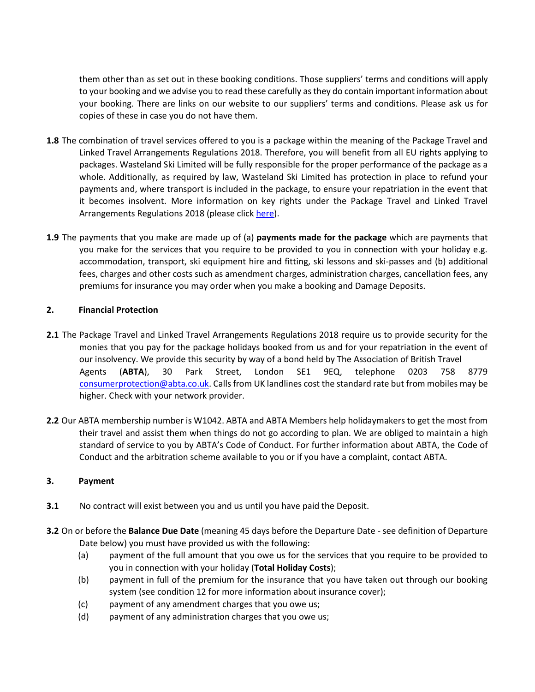them other than as set out in these booking conditions. Those suppliers' terms and conditions will apply to your booking and we advise you to read these carefully as they do contain important information about your booking. There are links on our website to our suppliers' terms and conditions. Please ask us for copies of these in case you do not have them.

- **1.8** The combination of travel services offered to you is a package within the meaning of the Package Travel and Linked Travel Arrangements Regulations 2018. Therefore, you will benefit from all EU rights applying to packages. Wasteland Ski Limited will be fully responsible for the proper performance of the package as a whole. Additionally, as required by law, Wasteland Ski Limited has protection in place to refund your payments and, where transport is included in the package, to ensure your repatriation in the event that it becomes insolvent. More information on key rights under the Package Travel and Linked Travel Arrangements Regulations 2018 (please click [here\).](https://booking.wastelandski.com/media/project_wbb/document/wasteland-notice-of-reg-protection-part-2-2.pdf)
- **1.9** The payments that you make are made up of (a) **payments made for the package** which are payments that you make for the services that you require to be provided to you in connection with your holiday e.g. accommodation, transport, ski equipment hire and fitting, ski lessons and ski-passes and (b) additional fees, charges and other costs such as amendment charges, administration charges, cancellation fees, any premiums for insurance you may order when you make a booking and Damage Deposits.

## **2. Financial Protection**

- **2.1** The Package Travel and Linked Travel Arrangements Regulations 2018 require us to provide security for the monies that you pay for the package holidays booked from us and for your repatriation in the event of our insolvency. We provide this security by way of a bond held by The Association of British Travel Agents (**ABTA**), 30 Park Street, London SE1 9EQ, telephone 0203 758 8779 consumerprotection@abta.co.uk. Calls from UK landlines cost the standard rate but from mobiles may be higher. Check with your network provider.
- **2.2** Our ABTA membership number is W1042. ABTA and ABTA Members help holidaymakers to get the most from their travel and assist them when things do not go according to plan. We are obliged to maintain a high standard of service to you by ABTA's Code of Conduct. For further information about ABTA, the Code of Conduct and the arbitration scheme available to you or if you have a complaint, contact ABTA.

## **3. Payment**

- **3.1** No contract will exist between you and us until you have paid the Deposit.
- **3.2** On or before the **Balance Due Date** (meaning 45 days before the Departure Date see definition of Departure Date below) you must have provided us with the following:
	- (a) payment of the full amount that you owe us for the services that you require to be provided to you in connection with your holiday (**Total Holiday Costs**);
	- (b) payment in full of the premium for the insurance that you have taken out through our booking system (see condition 12 for more information about insurance cover);
	- (c) payment of any amendment charges that you owe us;
	- (d) payment of any administration charges that you owe us;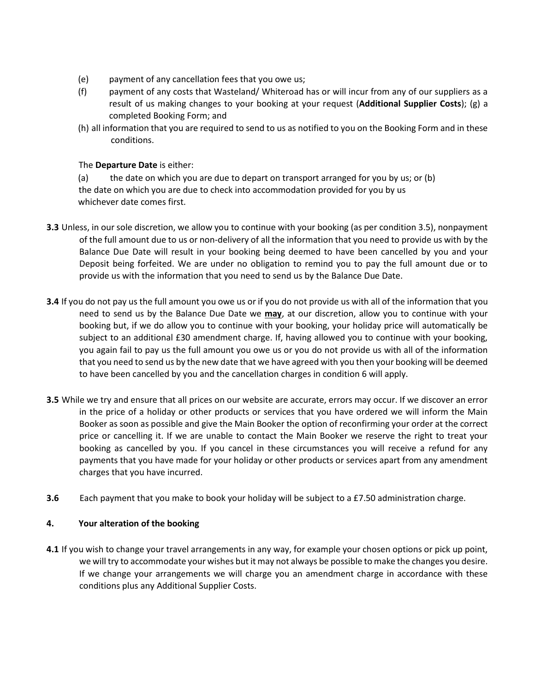- (e) payment of any cancellation fees that you owe us;
- (f) payment of any costs that Wasteland/ Whiteroad has or will incur from any of our suppliers as a result of us making changes to your booking at your request (**Additional Supplier Costs**); (g) a completed Booking Form; and
- (h) all information that you are required to send to us as notified to you on the Booking Form and in these conditions.

# The **Departure Date** is either:

(a) the date on which you are due to depart on transport arranged for you by us; or (b) the date on which you are due to check into accommodation provided for you by us whichever date comes first.

- **3.3** Unless, in our sole discretion, we allow you to continue with your booking (as per condition 3.5), nonpayment of the full amount due to us or non-delivery of all the information that you need to provide us with by the Balance Due Date will result in your booking being deemed to have been cancelled by you and your Deposit being forfeited. We are under no obligation to remind you to pay the full amount due or to provide us with the information that you need to send us by the Balance Due Date.
- **3.4** If you do not pay us the full amount you owe us or if you do not provide us with all of the information that you need to send us by the Balance Due Date we **may**, at our discretion, allow you to continue with your booking but, if we do allow you to continue with your booking, your holiday price will automatically be subject to an additional £30 amendment charge. If, having allowed you to continue with your booking, you again fail to pay us the full amount you owe us or you do not provide us with all of the information that you need to send us by the new date that we have agreed with you then your booking will be deemed to have been cancelled by you and the cancellation charges in condition 6 will apply.
- **3.5** While we try and ensure that all prices on our website are accurate, errors may occur. If we discover an error in the price of a holiday or other products or services that you have ordered we will inform the Main Booker as soon as possible and give the Main Booker the option of reconfirming your order at the correct price or cancelling it. If we are unable to contact the Main Booker we reserve the right to treat your booking as cancelled by you. If you cancel in these circumstances you will receive a refund for any payments that you have made for your holiday or other products or services apart from any amendment charges that you have incurred.
- **3.6** Each payment that you make to book your holiday will be subject to a £7.50 administration charge.

## **4. Your alteration of the booking**

**4.1** If you wish to change your travel arrangements in any way, for example your chosen options or pick up point, we will try to accommodate your wishes but it may not always be possible to make the changes you desire. If we change your arrangements we will charge you an amendment charge in accordance with these conditions plus any Additional Supplier Costs.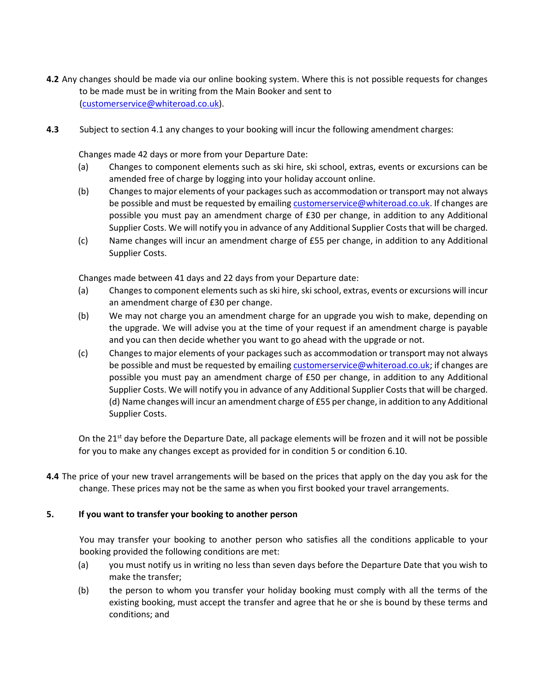- **4.2** Any changes should be made via our online booking system. Where this is not possible requests for changes to be made must be in writing from the Main Booker and sent to (customerservice@whiteroad.co.uk).
- **4.3** Subject to section 4.1 any changes to your booking will incur the following amendment charges:

Changes made 42 days or more from your Departure Date:

- (a) Changes to component elements such as ski hire, ski school, extras, events or excursions can be amended free of charge by logging into your holiday account online.
- (b) Changes to major elements of your packages such as accommodation or transport may not always be possible and must be requested by emailing customerservice@whiteroad.co.uk. If changes are possible you must pay an amendment charge of £30 per change, in addition to any Additional Supplier Costs. We will notify you in advance of any Additional Supplier Costs that will be charged.
- (c) Name changes will incur an amendment charge of £55 per change, in addition to any Additional Supplier Costs.

Changes made between 41 days and 22 days from your Departure date:

- (a) Changes to component elements such as ski hire, ski school, extras, events or excursions will incur an amendment charge of £30 per change.
- (b) We may not charge you an amendment charge for an upgrade you wish to make, depending on the upgrade. We will advise you at the time of your request if an amendment charge is payable and you can then decide whether you want to go ahead with the upgrade or not.
- (c) Changes to major elements of your packages such as accommodation or transport may not always be possible and must be requested by emailing customerservice@whiteroad.co.uk; if changes are possible you must pay an amendment charge of £50 per change, in addition to any Additional Supplier Costs. We will notify you in advance of any Additional Supplier Costs that will be charged. (d) Name changes will incur an amendment charge of £55 per change, in addition to any Additional Supplier Costs.

On the 21st day before the Departure Date, all package elements will be frozen and it will not be possible for you to make any changes except as provided for in condition 5 or condition 6.10.

**4.4** The price of your new travel arrangements will be based on the prices that apply on the day you ask for the change. These prices may not be the same as when you first booked your travel arrangements.

## **5. If you want to transfer your booking to another person**

You may transfer your booking to another person who satisfies all the conditions applicable to your booking provided the following conditions are met:

- (a) you must notify us in writing no less than seven days before the Departure Date that you wish to make the transfer;
- (b) the person to whom you transfer your holiday booking must comply with all the terms of the existing booking, must accept the transfer and agree that he or she is bound by these terms and conditions; and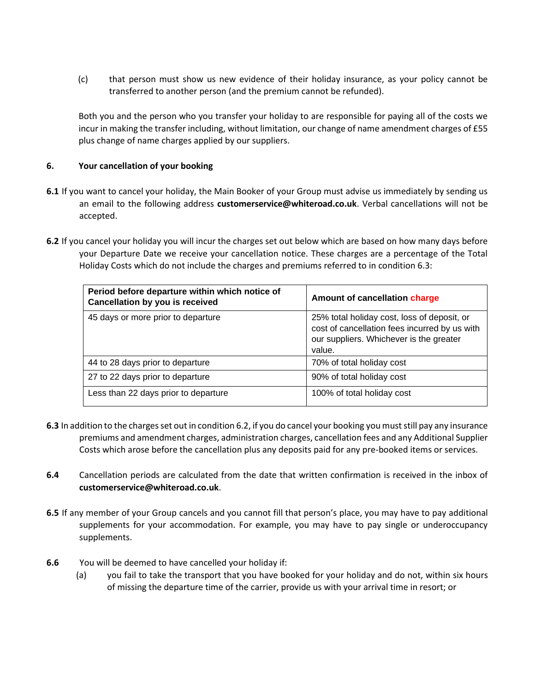(c) that person must show us new evidence of their holiday insurance, as your policy cannot be transferred to another person (and the premium cannot be refunded).

Both you and the person who you transfer your holiday to are responsible for paying all of the costs we incur in making the transfer including, without limitation, our change of name amendment charges of £55 plus change of name charges applied by our suppliers.

## **6. Your cancellation of your booking**

- **6.1** If you want to cancel your holiday, the Main Booker of your Group must advise us immediately by sending us an email to the following address **customerservice@whiteroad.co.uk**. Verbal cancellations will not be accepted.
- **6.2** If you cancel your holiday you will incur the charges set out below which are based on how many days before your Departure Date we receive your cancellation notice. These charges are a percentage of the Total Holiday Costs which do not include the charges and premiums referred to in condition 6.3:

| Period before departure within which notice of<br><b>Cancellation by you is received</b> | Amount of cancellation charge                                                                                                                     |
|------------------------------------------------------------------------------------------|---------------------------------------------------------------------------------------------------------------------------------------------------|
| 45 days or more prior to departure                                                       | 25% total holiday cost, loss of deposit, or<br>cost of cancellation fees incurred by us with<br>our suppliers. Whichever is the greater<br>value. |
| 44 to 28 days prior to departure                                                         | 70% of total holiday cost                                                                                                                         |
| 27 to 22 days prior to departure                                                         | 90% of total holiday cost                                                                                                                         |
| Less than 22 days prior to departure                                                     | 100% of total holiday cost                                                                                                                        |

- **6.3** In addition to the charges set out in condition 6.2, if you do cancel your booking you must still pay any insurance premiums and amendment charges, administration charges, cancellation fees and any Additional Supplier Costs which arose before the cancellation plus any deposits paid for any pre-booked items or services.
- **6.4** Cancellation periods are calculated from the date that written confirmation is received in the inbox of **customerservice@whiteroad.co.uk**.
- **6.5** If any member of your Group cancels and you cannot fill that person's place, you may have to pay additional supplements for your accommodation. For example, you may have to pay single or underoccupancy supplements.
- **6.6** You will be deemed to have cancelled your holiday if:
	- (a) you fail to take the transport that you have booked for your holiday and do not, within six hours of missing the departure time of the carrier, provide us with your arrival time in resort; or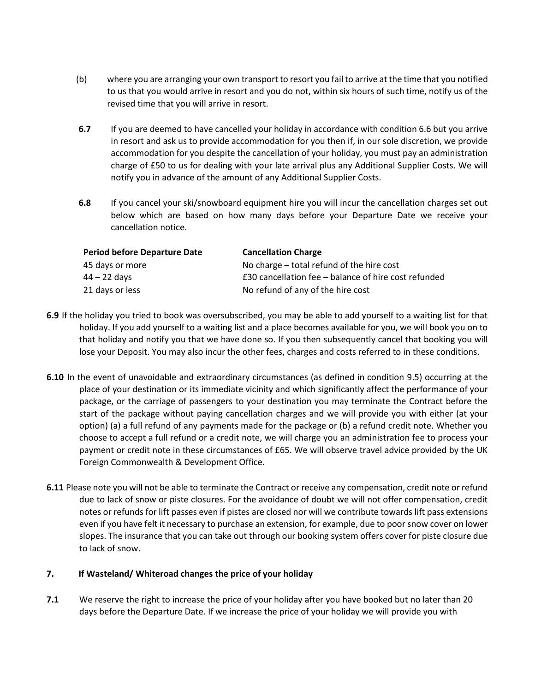- (b) where you are arranging your own transport to resort you fail to arrive at the time that you notified to us that you would arrive in resort and you do not, within six hours of such time, notify us of the revised time that you will arrive in resort.
- **6.7** If you are deemed to have cancelled your holiday in accordance with condition 6.6 but you arrive in resort and ask us to provide accommodation for you then if, in our sole discretion, we provide accommodation for you despite the cancellation of your holiday, you must pay an administration charge of £50 to us for dealing with your late arrival plus any Additional Supplier Costs. We will notify you in advance of the amount of any Additional Supplier Costs.
- **6.8** If you cancel your ski/snowboard equipment hire you will incur the cancellation charges set out below which are based on how many days before your Departure Date we receive your cancellation notice.

| <b>Period before Departure Date</b> | <b>Cancellation Charge</b>                           |
|-------------------------------------|------------------------------------------------------|
| 45 days or more                     | No charge – total refund of the hire cost            |
| $44 - 22$ days                      | £30 cancellation fee – balance of hire cost refunded |
| 21 days or less                     | No refund of any of the hire cost                    |

- **6.9** If the holiday you tried to book was oversubscribed, you may be able to add yourself to a waiting list for that holiday. If you add yourself to a waiting list and a place becomes available for you, we will book you on to that holiday and notify you that we have done so. If you then subsequently cancel that booking you will lose your Deposit. You may also incur the other fees, charges and costs referred to in these conditions.
- **6.10** In the event of unavoidable and extraordinary circumstances (as defined in condition 9.5) occurring at the place of your destination or its immediate vicinity and which significantly affect the performance of your package, or the carriage of passengers to your destination you may terminate the Contract before the start of the package without paying cancellation charges and we will provide you with either (at your option) (a) a full refund of any payments made for the package or (b) a refund credit note. Whether you choose to accept a full refund or a credit note, we will charge you an administration fee to process your payment or credit note in these circumstances of £65. We will observe travel advice provided by the UK Foreign Commonwealth & Development Office.
- **6.11** Please note you will not be able to terminate the Contract or receive any compensation, credit note or refund due to lack of snow or piste closures. For the avoidance of doubt we will not offer compensation, credit notes or refunds for lift passes even if pistes are closed nor will we contribute towards lift pass extensions even if you have felt it necessary to purchase an extension, for example, due to poor snow cover on lower slopes. The insurance that you can take out through our booking system offers cover for piste closure due to lack of snow.

## **7. If Wasteland/ Whiteroad changes the price of your holiday**

**7.1** We reserve the right to increase the price of your holiday after you have booked but no later than 20 days before the Departure Date. If we increase the price of your holiday we will provide you with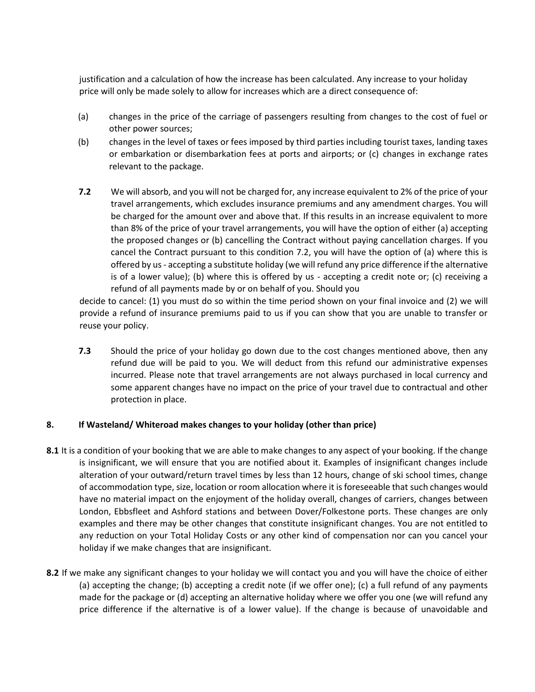justification and a calculation of how the increase has been calculated. Any increase to your holiday price will only be made solely to allow for increases which are a direct consequence of:

- (a) changes in the price of the carriage of passengers resulting from changes to the cost of fuel or other power sources;
- (b) changes in the level of taxes or fees imposed by third parties including tourist taxes, landing taxes or embarkation or disembarkation fees at ports and airports; or (c) changes in exchange rates relevant to the package.
- **7.2** We will absorb, and you will not be charged for, any increase equivalent to 2% of the price of your travel arrangements, which excludes insurance premiums and any amendment charges. You will be charged for the amount over and above that. If this results in an increase equivalent to more than 8% of the price of your travel arrangements, you will have the option of either (a) accepting the proposed changes or (b) cancelling the Contract without paying cancellation charges. If you cancel the Contract pursuant to this condition 7.2, you will have the option of (a) where this is offered by us - accepting a substitute holiday (we will refund any price difference if the alternative is of a lower value); (b) where this is offered by us - accepting a credit note or; (c) receiving a refund of all payments made by or on behalf of you. Should you

decide to cancel: (1) you must do so within the time period shown on your final invoice and (2) we will provide a refund of insurance premiums paid to us if you can show that you are unable to transfer or reuse your policy.

**7.3** Should the price of your holiday go down due to the cost changes mentioned above, then any refund due will be paid to you. We will deduct from this refund our administrative expenses incurred. Please note that travel arrangements are not always purchased in local currency and some apparent changes have no impact on the price of your travel due to contractual and other protection in place.

## **8. If Wasteland/ Whiteroad makes changes to your holiday (other than price)**

- **8.1** It is a condition of your booking that we are able to make changes to any aspect of your booking. If the change is insignificant, we will ensure that you are notified about it. Examples of insignificant changes include alteration of your outward/return travel times by less than 12 hours, change of ski school times, change of accommodation type, size, location or room allocation where it is foreseeable that such changes would have no material impact on the enjoyment of the holiday overall, changes of carriers, changes between London, Ebbsfleet and Ashford stations and between Dover/Folkestone ports. These changes are only examples and there may be other changes that constitute insignificant changes. You are not entitled to any reduction on your Total Holiday Costs or any other kind of compensation nor can you cancel your holiday if we make changes that are insignificant.
- **8.2** If we make any significant changes to your holiday we will contact you and you will have the choice of either (a) accepting the change; (b) accepting a credit note (if we offer one); (c) a full refund of any payments made for the package or (d) accepting an alternative holiday where we offer you one (we will refund any price difference if the alternative is of a lower value). If the change is because of unavoidable and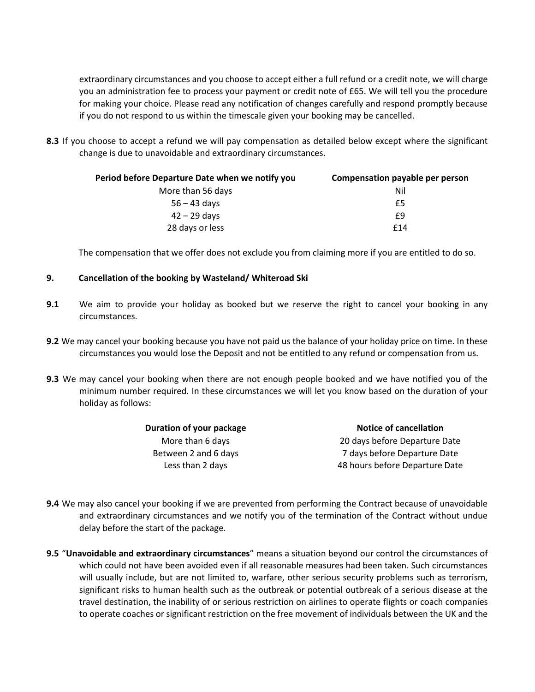extraordinary circumstances and you choose to accept either a full refund or a credit note, we will charge you an administration fee to process your payment or credit note of £65. We will tell you the procedure for making your choice. Please read any notification of changes carefully and respond promptly because if you do not respond to us within the timescale given your booking may be cancelled.

**8.3** If you choose to accept a refund we will pay compensation as detailed below except where the significant change is due to unavoidable and extraordinary circumstances.

| Period before Departure Date when we notify you | Compensation payable per person |
|-------------------------------------------------|---------------------------------|
| More than 56 days                               | Nil                             |
| $56 - 43$ days                                  | £5                              |
| 42 – 29 days                                    | £9                              |
| 28 days or less                                 | f14                             |

The compensation that we offer does not exclude you from claiming more if you are entitled to do so.

#### **9. Cancellation of the booking by Wasteland/ Whiteroad Ski**

- **9.1** We aim to provide your holiday as booked but we reserve the right to cancel your booking in any circumstances.
- **9.2** We may cancel your booking because you have not paid us the balance of your holiday price on time. In these circumstances you would lose the Deposit and not be entitled to any refund or compensation from us.
- **9.3** We may cancel your booking when there are not enough people booked and we have notified you of the minimum number required. In these circumstances we will let you know based on the duration of your holiday as follows:

| Duration of your package | <b>Notice of cancellation</b>  |
|--------------------------|--------------------------------|
| More than 6 days         | 20 days before Departure Date  |
| Between 2 and 6 days     | 7 days before Departure Date   |
| Less than 2 days         | 48 hours before Departure Date |

- **9.4** We may also cancel your booking if we are prevented from performing the Contract because of unavoidable and extraordinary circumstances and we notify you of the termination of the Contract without undue delay before the start of the package.
- **9.5** "**Unavoidable and extraordinary circumstances**" means a situation beyond our control the circumstances of which could not have been avoided even if all reasonable measures had been taken. Such circumstances will usually include, but are not limited to, warfare, other serious security problems such as terrorism, significant risks to human health such as the outbreak or potential outbreak of a serious disease at the travel destination, the inability of or serious restriction on airlines to operate flights or coach companies to operate coaches or significant restriction on the free movement of individuals between the UK and the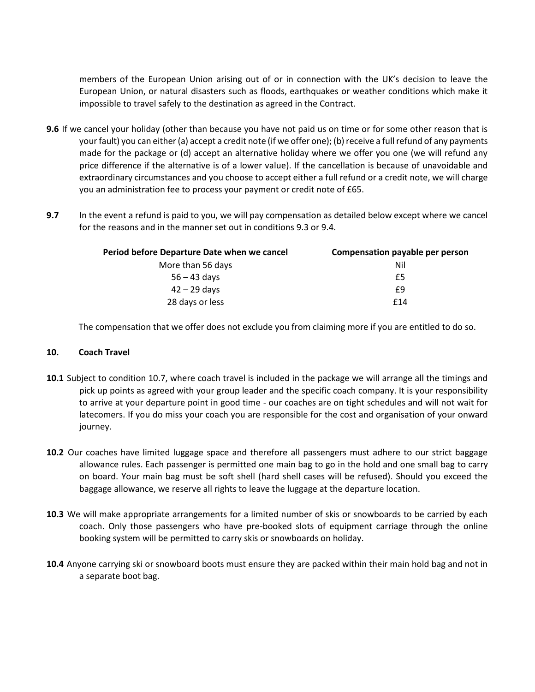members of the European Union arising out of or in connection with the UK's decision to leave the European Union, or natural disasters such as floods, earthquakes or weather conditions which make it impossible to travel safely to the destination as agreed in the Contract.

- **9.6** If we cancel your holiday (other than because you have not paid us on time or for some other reason that is your fault) you can either (a) accept a credit note (if we offer one); (b) receive a full refund of any payments made for the package or (d) accept an alternative holiday where we offer you one (we will refund any price difference if the alternative is of a lower value). If the cancellation is because of unavoidable and extraordinary circumstances and you choose to accept either a full refund or a credit note, we will charge you an administration fee to process your payment or credit note of £65.
- **9.7** In the event a refund is paid to you, we will pay compensation as detailed below except where we cancel for the reasons and in the manner set out in conditions 9.3 or 9.4.

| Period before Departure Date when we cancel | Compensation payable per person |
|---------------------------------------------|---------------------------------|
| More than 56 days                           | Nil                             |
| $56 - 43$ days                              | £5                              |
| $42 - 29$ days                              | £9                              |
| 28 days or less                             | f14                             |

The compensation that we offer does not exclude you from claiming more if you are entitled to do so.

## **10. Coach Travel**

- **10.1** Subject to condition 10.7, where coach travel is included in the package we will arrange all the timings and pick up points as agreed with your group leader and the specific coach company. It is your responsibility to arrive at your departure point in good time - our coaches are on tight schedules and will not wait for latecomers. If you do miss your coach you are responsible for the cost and organisation of your onward journey.
- **10.2** Our coaches have limited luggage space and therefore all passengers must adhere to our strict baggage allowance rules. Each passenger is permitted one main bag to go in the hold and one small bag to carry on board. Your main bag must be soft shell (hard shell cases will be refused). Should you exceed the baggage allowance, we reserve all rights to leave the luggage at the departure location.
- **10.3** We will make appropriate arrangements for a limited number of skis or snowboards to be carried by each coach. Only those passengers who have pre-booked slots of equipment carriage through the online booking system will be permitted to carry skis or snowboards on holiday.
- **10.4** Anyone carrying ski or snowboard boots must ensure they are packed within their main hold bag and not in a separate boot bag.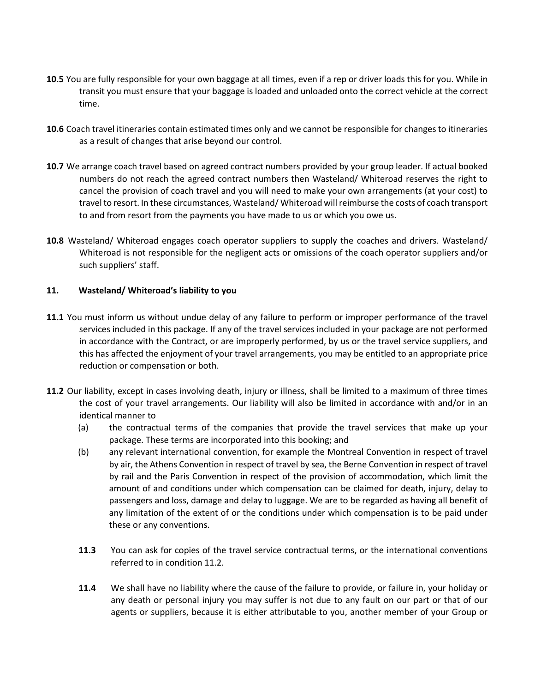- **10.5** You are fully responsible for your own baggage at all times, even if a rep or driver loads this for you. While in transit you must ensure that your baggage is loaded and unloaded onto the correct vehicle at the correct time.
- **10.6** Coach travel itineraries contain estimated times only and we cannot be responsible for changes to itineraries as a result of changes that arise beyond our control.
- **10.7** We arrange coach travel based on agreed contract numbers provided by your group leader. If actual booked numbers do not reach the agreed contract numbers then Wasteland/ Whiteroad reserves the right to cancel the provision of coach travel and you will need to make your own arrangements (at your cost) to travel to resort. In these circumstances, Wasteland/ Whiteroad will reimburse the costs of coach transport to and from resort from the payments you have made to us or which you owe us.
- **10.8** Wasteland/ Whiteroad engages coach operator suppliers to supply the coaches and drivers. Wasteland/ Whiteroad is not responsible for the negligent acts or omissions of the coach operator suppliers and/or such suppliers' staff.

## **11. Wasteland/ Whiteroad's liability to you**

- **11.1** You must inform us without undue delay of any failure to perform or improper performance of the travel services included in this package. If any of the travel services included in your package are not performed in accordance with the Contract, or are improperly performed, by us or the travel service suppliers, and this has affected the enjoyment of your travel arrangements, you may be entitled to an appropriate price reduction or compensation or both.
- **11.2** Our liability, except in cases involving death, injury or illness, shall be limited to a maximum of three times the cost of your travel arrangements. Our liability will also be limited in accordance with and/or in an identical manner to
	- (a) the contractual terms of the companies that provide the travel services that make up your package. These terms are incorporated into this booking; and
	- (b) any relevant international convention, for example the Montreal Convention in respect of travel by air, the Athens Convention in respect of travel by sea, the Berne Convention in respect of travel by rail and the Paris Convention in respect of the provision of accommodation, which limit the amount of and conditions under which compensation can be claimed for death, injury, delay to passengers and loss, damage and delay to luggage. We are to be regarded as having all benefit of any limitation of the extent of or the conditions under which compensation is to be paid under these or any conventions.
	- **11.3** You can ask for copies of the travel service contractual terms, or the international conventions referred to in condition 11.2.
	- **11.4** We shall have no liability where the cause of the failure to provide, or failure in, your holiday or any death or personal injury you may suffer is not due to any fault on our part or that of our agents or suppliers, because it is either attributable to you, another member of your Group or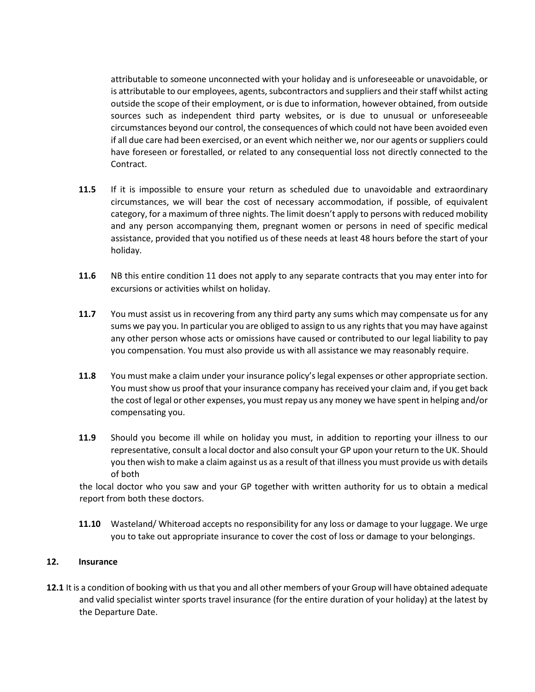attributable to someone unconnected with your holiday and is unforeseeable or unavoidable, or is attributable to our employees, agents, subcontractors and suppliers and their staff whilst acting outside the scope of their employment, or is due to information, however obtained, from outside sources such as independent third party websites, or is due to unusual or unforeseeable circumstances beyond our control, the consequences of which could not have been avoided even if all due care had been exercised, or an event which neither we, nor our agents or suppliers could have foreseen or forestalled, or related to any consequential loss not directly connected to the Contract.

- **11.5** If it is impossible to ensure your return as scheduled due to unavoidable and extraordinary circumstances, we will bear the cost of necessary accommodation, if possible, of equivalent category, for a maximum of three nights. The limit doesn't apply to persons with reduced mobility and any person accompanying them, pregnant women or persons in need of specific medical assistance, provided that you notified us of these needs at least 48 hours before the start of your holiday.
- **11.6** NB this entire condition 11 does not apply to any separate contracts that you may enter into for excursions or activities whilst on holiday.
- **11.7** You must assist us in recovering from any third party any sums which may compensate us for any sums we pay you. In particular you are obliged to assign to us any rights that you may have against any other person whose acts or omissions have caused or contributed to our legal liability to pay you compensation. You must also provide us with all assistance we may reasonably require.
- **11.8** You must make a claim under your insurance policy's legal expenses or other appropriate section. You must show us proof that your insurance company has received your claim and, if you get back the cost of legal or other expenses, you must repay us any money we have spent in helping and/or compensating you.
- **11.9** Should you become ill while on holiday you must, in addition to reporting your illness to our representative, consult a local doctor and also consult your GP upon your return to the UK. Should you then wish to make a claim against us as a result of that illness you must provide us with details of both

the local doctor who you saw and your GP together with written authority for us to obtain a medical report from both these doctors.

**11.10** Wasteland/ Whiteroad accepts no responsibility for any loss or damage to your luggage. We urge you to take out appropriate insurance to cover the cost of loss or damage to your belongings.

# **12. Insurance**

**12.1** It is a condition of booking with us that you and all other members of your Group will have obtained adequate and valid specialist winter sports travel insurance (for the entire duration of your holiday) at the latest by the Departure Date.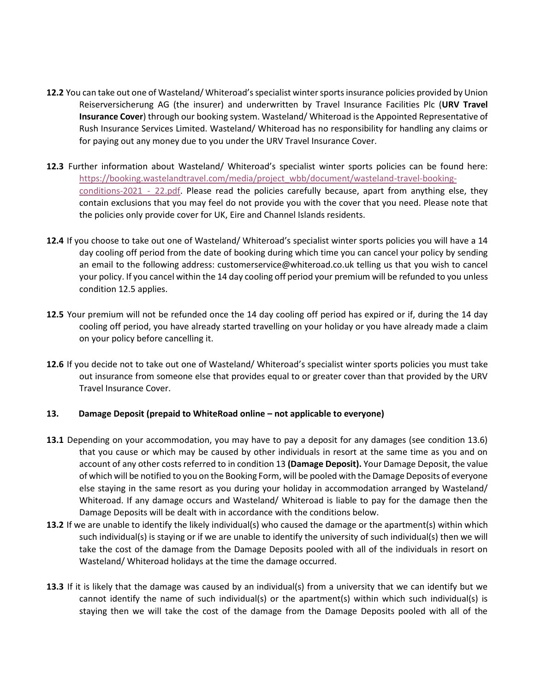- **12.2** You can take out one of Wasteland/ Whiteroad's specialist winter sportsinsurance policies provided by Union Reiserversicherung AG (the insurer) and underwritten by Travel Insurance Facilities Plc (**URV Travel Insurance Cover**) through our booking system. Wasteland/ Whiteroad is the Appointed Representative of Rush Insurance Services Limited. Wasteland/ Whiteroad has no responsibility for handling any claims or for paying out any money due to you under the URV Travel Insurance Cover.
- **12.3** Further information about Wasteland/ Whiteroad's specialist winter sports policies can be found here[:](https://booking.wastelandski.com/media/project_wbb/document/wasteland-ski-pw-2017-2018-final-v3.pdf) [https://booking.wastelandtravel.com/media/project\\_wbb/document/wasteland-travel-booking](https://booking.wastelandtravel.com/media/project_wbb/document/wasteland-travel-booking-conditions-2021_-_22.pdf)conditions-2021 - 22.pdf. Please read the policies carefully because, apart from anything else, they contain exclusions that you may feel do not provide you with the cover that you need. Please note that the policies only provide cover for UK, Eire and Channel Islands residents.
- **12.4** If you choose to take out one of Wasteland/ Whiteroad's specialist winter sports policies you will have a 14 day cooling off period from the date of booking during which time you can cancel your policy by sending an email to the following address: customerservice@whiteroad.co.uk telling us that you wish to cancel your policy. If you cancel within the 14 day cooling off period your premium will be refunded to you unless condition 12.5 applies.
- **12.5** Your premium will not be refunded once the 14 day cooling off period has expired or if, during the 14 day cooling off period, you have already started travelling on your holiday or you have already made a claim on your policy before cancelling it.
- **12.6** If you decide not to take out one of Wasteland/ Whiteroad's specialist winter sports policies you must take out insurance from someone else that provides equal to or greater cover than that provided by the URV Travel Insurance Cover.

## **13. Damage Deposit (prepaid to WhiteRoad online – not applicable to everyone)**

- **13.1** Depending on your accommodation, you may have to pay a deposit for any damages (see condition 13.6) that you cause or which may be caused by other individuals in resort at the same time as you and on account of any other costs referred to in condition 13 **(Damage Deposit).** Your Damage Deposit, the value of which will be notified to you on the Booking Form, will be pooled with the Damage Deposits of everyone else staying in the same resort as you during your holiday in accommodation arranged by Wasteland/ Whiteroad. If any damage occurs and Wasteland/ Whiteroad is liable to pay for the damage then the Damage Deposits will be dealt with in accordance with the conditions below.
- **13.2** If we are unable to identify the likely individual(s) who caused the damage or the apartment(s) within which such individual(s) is staying or if we are unable to identify the university of such individual(s) then we will take the cost of the damage from the Damage Deposits pooled with all of the individuals in resort on Wasteland/ Whiteroad holidays at the time the damage occurred.
- **13.3** If it is likely that the damage was caused by an individual(s) from a university that we can identify but we cannot identify the name of such individual(s) or the apartment(s) within which such individual(s) is staying then we will take the cost of the damage from the Damage Deposits pooled with all of the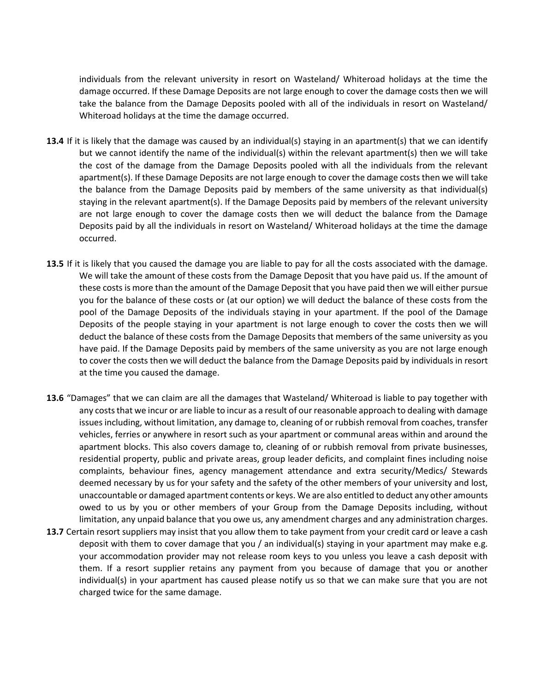individuals from the relevant university in resort on Wasteland/ Whiteroad holidays at the time the damage occurred. If these Damage Deposits are not large enough to cover the damage costs then we will take the balance from the Damage Deposits pooled with all of the individuals in resort on Wasteland/ Whiteroad holidays at the time the damage occurred.

- **13.4** If it is likely that the damage was caused by an individual(s) staying in an apartment(s) that we can identify but we cannot identify the name of the individual(s) within the relevant apartment(s) then we will take the cost of the damage from the Damage Deposits pooled with all the individuals from the relevant apartment(s). If these Damage Deposits are not large enough to cover the damage costs then we will take the balance from the Damage Deposits paid by members of the same university as that individual(s) staying in the relevant apartment(s). If the Damage Deposits paid by members of the relevant university are not large enough to cover the damage costs then we will deduct the balance from the Damage Deposits paid by all the individuals in resort on Wasteland/ Whiteroad holidays at the time the damage occurred.
- **13.5** If it is likely that you caused the damage you are liable to pay for all the costs associated with the damage. We will take the amount of these costs from the Damage Deposit that you have paid us. If the amount of these costs is more than the amount of the Damage Deposit that you have paid then we will either pursue you for the balance of these costs or (at our option) we will deduct the balance of these costs from the pool of the Damage Deposits of the individuals staying in your apartment. If the pool of the Damage Deposits of the people staying in your apartment is not large enough to cover the costs then we will deduct the balance of these costs from the Damage Deposits that members of the same university as you have paid. If the Damage Deposits paid by members of the same university as you are not large enough to cover the costs then we will deduct the balance from the Damage Deposits paid by individuals in resort at the time you caused the damage.
- **13.6** "Damages" that we can claim are all the damages that Wasteland/ Whiteroad is liable to pay together with any costs that we incur or are liable to incur as a result of our reasonable approach to dealing with damage issues including, without limitation, any damage to, cleaning of or rubbish removal from coaches, transfer vehicles, ferries or anywhere in resort such as your apartment or communal areas within and around the apartment blocks. This also covers damage to, cleaning of or rubbish removal from private businesses, residential property, public and private areas, group leader deficits, and complaint fines including noise complaints, behaviour fines, agency management attendance and extra security/Medics/ Stewards deemed necessary by us for your safety and the safety of the other members of your university and lost, unaccountable or damaged apartment contents or keys. We are also entitled to deduct any other amounts owed to us by you or other members of your Group from the Damage Deposits including, without limitation, any unpaid balance that you owe us, any amendment charges and any administration charges.
- **13.7** Certain resort suppliers may insist that you allow them to take payment from your credit card or leave a cash deposit with them to cover damage that you / an individual(s) staying in your apartment may make e.g. your accommodation provider may not release room keys to you unless you leave a cash deposit with them. If a resort supplier retains any payment from you because of damage that you or another individual(s) in your apartment has caused please notify us so that we can make sure that you are not charged twice for the same damage.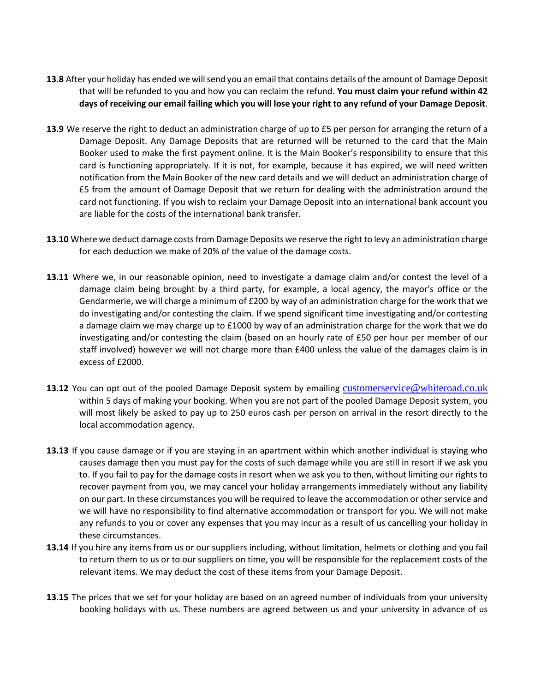- **13.8** After your holiday has ended we will send you an email that contains details of the amount of Damage Deposit that will be refunded to you and how you can reclaim the refund. **You must claim your refund within 42 days of receiving our email failing which you will lose your right to any refund of your Damage Deposit**.
- **13.9** We reserve the right to deduct an administration charge of up to £5 per person for arranging the return of a Damage Deposit. Any Damage Deposits that are returned will be returned to the card that the Main Booker used to make the first payment online. It is the Main Booker's responsibility to ensure that this card is functioning appropriately. If it is not, for example, because it has expired, we will need written notification from the Main Booker of the new card details and we will deduct an administration charge of £5 from the amount of Damage Deposit that we return for dealing with the administration around the card not functioning. If you wish to reclaim your Damage Deposit into an international bank account you are liable for the costs of the international bank transfer.
- **13.10** Where we deduct damage costs from Damage Deposits we reserve the right to levy an administration charge for each deduction we make of 20% of the value of the damage costs.
- **13.11** Where we, in our reasonable opinion, need to investigate a damage claim and/or contest the level of a damage claim being brought by a third party, for example, a local agency, the mayor's office or the Gendarmerie, we will charge a minimum of £200 by way of an administration charge for the work that we do investigating and/or contesting the claim. If we spend significant time investigating and/or contesting a damage claim we may charge up to £1000 by way of an administration charge for the work that we do investigating and/or contesting the claim (based on an hourly rate of £50 per hour per member of our staff involved) however we will not charge more than £400 unless the value of the damages claim is in excess of £2000.
- **13.12** You can opt out of the pooled Damage Deposit system by emailing customerservice@whiteroad.co.uk within 5 days of making your booking. When you are not part of the pooled Damage Deposit system, you will most likely be asked to pay up to 250 euros cash per person on arrival in the resort directly to the local accommodation agency.
- **13.13** If you cause damage or if you are staying in an apartment within which another individual is staying who causes damage then you must pay for the costs of such damage while you are still in resort if we ask you to. If you fail to pay for the damage costs in resort when we ask you to then, without limiting our rights to recover payment from you, we may cancel your holiday arrangements immediately without any liability on our part. In these circumstances you will be required to leave the accommodation or other service and we will have no responsibility to find alternative accommodation or transport for you. We will not make any refunds to you or cover any expenses that you may incur as a result of us cancelling your holiday in these circumstances.
- **13.14** If you hire any items from us or our suppliers including, without limitation, helmets or clothing and you fail to return them to us or to our suppliers on time, you will be responsible for the replacement costs of the relevant items. We may deduct the cost of these items from your Damage Deposit.
- **13.15** The prices that we set for your holiday are based on an agreed number of individuals from your university booking holidays with us. These numbers are agreed between us and your university in advance of us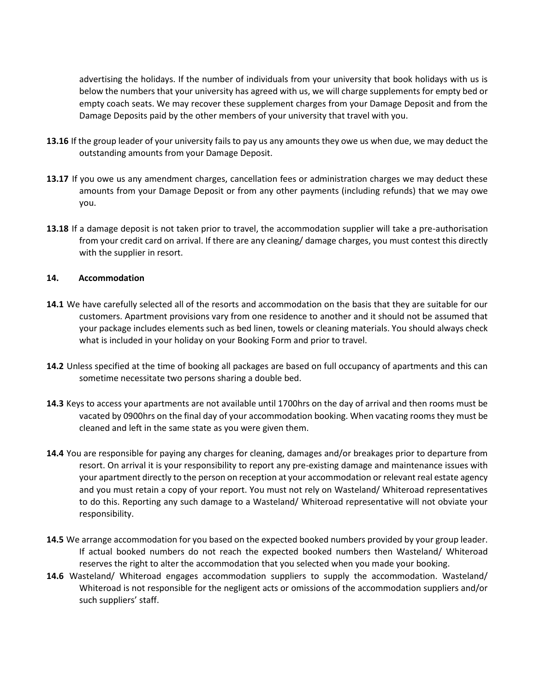advertising the holidays. If the number of individuals from your university that book holidays with us is below the numbers that your university has agreed with us, we will charge supplements for empty bed or empty coach seats. We may recover these supplement charges from your Damage Deposit and from the Damage Deposits paid by the other members of your university that travel with you.

- **13.16** If the group leader of your university fails to pay us any amounts they owe us when due, we may deduct the outstanding amounts from your Damage Deposit.
- **13.17** If you owe us any amendment charges, cancellation fees or administration charges we may deduct these amounts from your Damage Deposit or from any other payments (including refunds) that we may owe you.
- **13.18** If a damage deposit is not taken prior to travel, the accommodation supplier will take a pre-authorisation from your credit card on arrival. If there are any cleaning/ damage charges, you must contest this directly with the supplier in resort.

#### **14. Accommodation**

- **14.1** We have carefully selected all of the resorts and accommodation on the basis that they are suitable for our customers. Apartment provisions vary from one residence to another and it should not be assumed that your package includes elements such as bed linen, towels or cleaning materials. You should always check what is included in your holiday on your Booking Form and prior to travel.
- **14.2** Unless specified at the time of booking all packages are based on full occupancy of apartments and this can sometime necessitate two persons sharing a double bed.
- **14.3** Keys to access your apartments are not available until 1700hrs on the day of arrival and then rooms must be vacated by 0900hrs on the final day of your accommodation booking. When vacating rooms they must be cleaned and left in the same state as you were given them.
- **14.4** You are responsible for paying any charges for cleaning, damages and/or breakages prior to departure from resort. On arrival it is your responsibility to report any pre-existing damage and maintenance issues with your apartment directly to the person on reception at your accommodation or relevant real estate agency and you must retain a copy of your report. You must not rely on Wasteland/ Whiteroad representatives to do this. Reporting any such damage to a Wasteland/ Whiteroad representative will not obviate your responsibility.
- **14.5** We arrange accommodation for you based on the expected booked numbers provided by your group leader. If actual booked numbers do not reach the expected booked numbers then Wasteland/ Whiteroad reserves the right to alter the accommodation that you selected when you made your booking.
- **14.6** Wasteland/ Whiteroad engages accommodation suppliers to supply the accommodation. Wasteland/ Whiteroad is not responsible for the negligent acts or omissions of the accommodation suppliers and/or such suppliers' staff.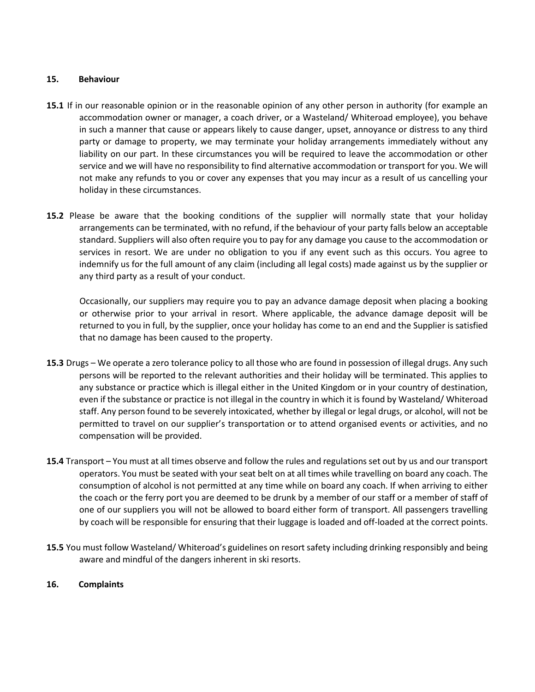#### **15. Behaviour**

- **15.1** If in our reasonable opinion or in the reasonable opinion of any other person in authority (for example an accommodation owner or manager, a coach driver, or a Wasteland/ Whiteroad employee), you behave in such a manner that cause or appears likely to cause danger, upset, annoyance or distress to any third party or damage to property, we may terminate your holiday arrangements immediately without any liability on our part. In these circumstances you will be required to leave the accommodation or other service and we will have no responsibility to find alternative accommodation or transport for you. We will not make any refunds to you or cover any expenses that you may incur as a result of us cancelling your holiday in these circumstances.
- **15.2** Please be aware that the booking conditions of the supplier will normally state that your holiday arrangements can be terminated, with no refund, if the behaviour of your party falls below an acceptable standard. Suppliers will also often require you to pay for any damage you cause to the accommodation or services in resort. We are under no obligation to you if any event such as this occurs. You agree to indemnify us for the full amount of any claim (including all legal costs) made against us by the supplier or any third party as a result of your conduct.

Occasionally, our suppliers may require you to pay an advance damage deposit when placing a booking or otherwise prior to your arrival in resort. Where applicable, the advance damage deposit will be returned to you in full, by the supplier, once your holiday has come to an end and the Supplier is satisfied that no damage has been caused to the property.

- **15.3** Drugs We operate a zero tolerance policy to all those who are found in possession of illegal drugs. Any such persons will be reported to the relevant authorities and their holiday will be terminated. This applies to any substance or practice which is illegal either in the United Kingdom or in your country of destination, even if the substance or practice is not illegal in the country in which it is found by Wasteland/ Whiteroad staff. Any person found to be severely intoxicated, whether by illegal or legal drugs, or alcohol, will not be permitted to travel on our supplier's transportation or to attend organised events or activities, and no compensation will be provided.
- **15.4** Transport You must at all times observe and follow the rules and regulations set out by us and our transport operators. You must be seated with your seat belt on at all times while travelling on board any coach. The consumption of alcohol is not permitted at any time while on board any coach. If when arriving to either the coach or the ferry port you are deemed to be drunk by a member of our staff or a member of staff of one of our suppliers you will not be allowed to board either form of transport. All passengers travelling by coach will be responsible for ensuring that their luggage is loaded and off-loaded at the correct points.
- **15.5** You must follow Wasteland/ Whiteroad's guidelines on resort safety including drinking responsibly and being aware and mindful of the dangers inherent in ski resorts.

## **16. Complaints**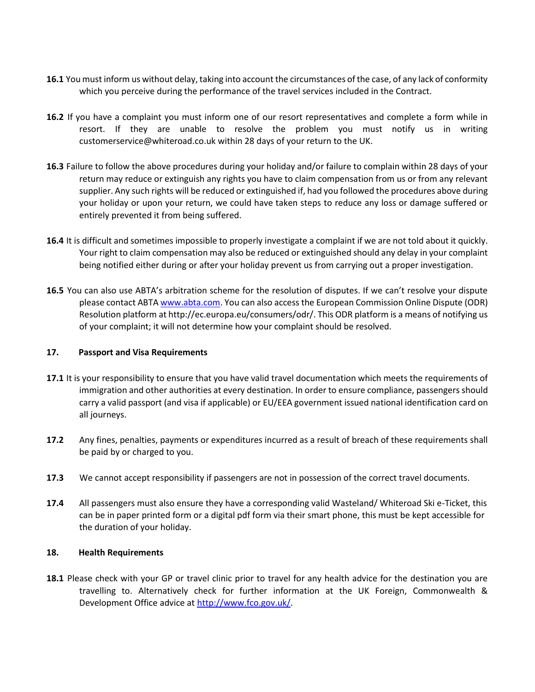- **16.1** You must inform us without delay, taking into account the circumstances of the case, of any lack of conformity which you perceive during the performance of the travel services included in the Contract.
- **16.2** If you have a complaint you must inform one of our resort representatives and complete a form while in resort. If they are unable to resolve the problem you must notify us in writing customerservice@whiteroad.co.uk within 28 days of your return to the UK.
- **16.3** Failure to follow the above procedures during your holiday and/or failure to complain within 28 days of your return may reduce or extinguish any rights you have to claim compensation from us or from any relevant supplier. Any such rights will be reduced or extinguished if, had you followed the procedures above during your holiday or upon your return, we could have taken steps to reduce any loss or damage suffered or entirely prevented it from being suffered.
- **16.4** It is difficult and sometimes impossible to properly investigate a complaint if we are not told about it quickly. Your right to claim compensation may also be reduced or extinguished should any delay in your complaint being notified either during or after your holiday prevent us from carrying out a proper investigation.
- **16.5** You can also use ABTA's arbitration scheme for the resolution of disputes. If we can't resolve your dispute please contact AB[TA www.abta.com.](http://www.abta.com/) You can also access the European Commission Online Dispute (ODR) Resolution platform at http://ec.europa.eu/consumers/odr/. This ODR platform is a means of notifying us of your complaint; it will not determine how your complaint should be resolved.

## **17. Passport and Visa Requirements**

- **17.1** It is your responsibility to ensure that you have valid travel documentation which meets the requirements of immigration and other authorities at every destination. In order to ensure compliance, passengers should carry a valid passport (and visa if applicable) or EU/EEA government issued national identification card on all journeys.
- **17.2** Any fines, penalties, payments or expenditures incurred as a result of breach of these requirements shall be paid by or charged to you.
- **17.3** We cannot accept responsibility if passengers are not in possession of the correct travel documents.
- **17.4** All passengers must also ensure they have a corresponding valid Wasteland/ Whiteroad Ski e-Ticket, this can be in paper printed form or a digital pdf form via their smart phone, this must be kept accessible for the duration of your holiday.

# **18. Health Requirements**

**18.1** Please check with your GP or travel clinic prior to travel for any health advice for the destination you are travelling to. Alternatively check for further information at the UK Foreign, Commonwealth & Development Office advice a[t http://www.fco.gov.uk/.](http://www.fco.gov.uk/)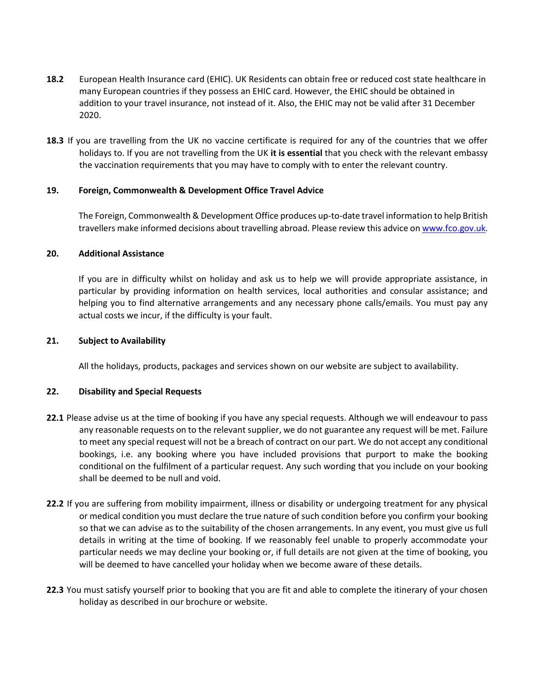- **18.2** European Health Insurance card (EHIC). UK Residents can obtain free or reduced cost state healthcare in many European countries if they possess an EHIC card. However, the EHIC should be obtained in addition to your travel insurance, not instead of it. Also, the EHIC may not be valid after 31 December 2020.
- **18.3** If you are travelling from the UK no vaccine certificate is required for any of the countries that we offer holidays to. If you are not travelling from the UK **it is essential** that you check with the relevant embassy the vaccination requirements that you may have to comply with to enter the relevant country.

## **19. Foreign, Commonwealth & Development Office Travel Advice**

The Foreign, Commonwealth & Development Office produces up-to-date travel information to help British travellers make informed decisions about travelling abroad. Please review this advice [on www.fco.gov.uk.](http://www.fco.gov.uk/) 

## **20. Additional Assistance**

If you are in difficulty whilst on holiday and ask us to help we will provide appropriate assistance, in particular by providing information on health services, local authorities and consular assistance; and helping you to find alternative arrangements and any necessary phone calls/emails. You must pay any actual costs we incur, if the difficulty is your fault.

## **21. Subject to Availability**

All the holidays, products, packages and services shown on our website are subject to availability.

## **22. Disability and Special Requests**

- **22.1** Please advise us at the time of booking if you have any special requests. Although we will endeavour to pass any reasonable requests on to the relevant supplier, we do not guarantee any request will be met. Failure to meet any special request will not be a breach of contract on our part. We do not accept any conditional bookings, i.e. any booking where you have included provisions that purport to make the booking conditional on the fulfilment of a particular request. Any such wording that you include on your booking shall be deemed to be null and void.
- **22.2** If you are suffering from mobility impairment, illness or disability or undergoing treatment for any physical or medical condition you must declare the true nature of such condition before you confirm your booking so that we can advise as to the suitability of the chosen arrangements. In any event, you must give us full details in writing at the time of booking. If we reasonably feel unable to properly accommodate your particular needs we may decline your booking or, if full details are not given at the time of booking, you will be deemed to have cancelled your holiday when we become aware of these details.
- **22.3** You must satisfy yourself prior to booking that you are fit and able to complete the itinerary of your chosen holiday as described in our brochure or website.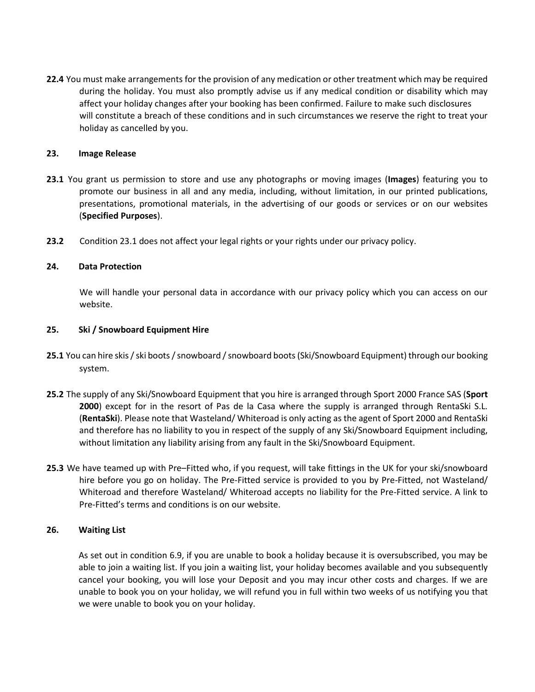**22.4** You must make arrangements for the provision of any medication or other treatment which may be required during the holiday. You must also promptly advise us if any medical condition or disability which may affect your holiday changes after your booking has been confirmed. Failure to make such disclosures will constitute a breach of these conditions and in such circumstances we reserve the right to treat your holiday as cancelled by you.

## **23. Image Release**

- **23.1** You grant us permission to store and use any photographs or moving images (**Images**) featuring you to promote our business in all and any media, including, without limitation, in our printed publications, presentations, promotional materials, in the advertising of our goods or services or on our websites (**Specified Purposes**).
- **23.2** Condition 23.1 does not affect your legal rights or your rights under our privacy policy.

## **24. Data Protection**

We will handle your personal data in accordance with our privacy policy which you can access on our website.

#### **25. Ski / Snowboard Equipment Hire**

- **25.1** You can hire skis / ski boots / snowboard / snowboard boots (Ski/Snowboard Equipment) through our booking system.
- **25.2** The supply of any Ski/Snowboard Equipment that you hire is arranged through Sport 2000 France SAS (**Sport 2000**) except for in the resort of Pas de la Casa where the supply is arranged through RentaSki S.L. (**RentaSki**). Please note that Wasteland/ Whiteroad is only acting as the agent of Sport 2000 and RentaSki and therefore has no liability to you in respect of the supply of any Ski/Snowboard Equipment including, without limitation any liability arising from any fault in the Ski/Snowboard Equipment.
- **25.3** We have teamed up with Pre–Fitted who, if you request, will take fittings in the UK for your ski/snowboard hire before you go on holiday. The Pre-Fitted service is provided to you by Pre-Fitted, not Wasteland/ Whiteroad and therefore Wasteland/ Whiteroad accepts no liability for the Pre-Fitted service. A link to Pre-Fitted's terms and conditions is on our website.

#### **26. Waiting List**

As set out in condition 6.9, if you are unable to book a holiday because it is oversubscribed, you may be able to join a waiting list. If you join a waiting list, your holiday becomes available and you subsequently cancel your booking, you will lose your Deposit and you may incur other costs and charges. If we are unable to book you on your holiday, we will refund you in full within two weeks of us notifying you that we were unable to book you on your holiday.